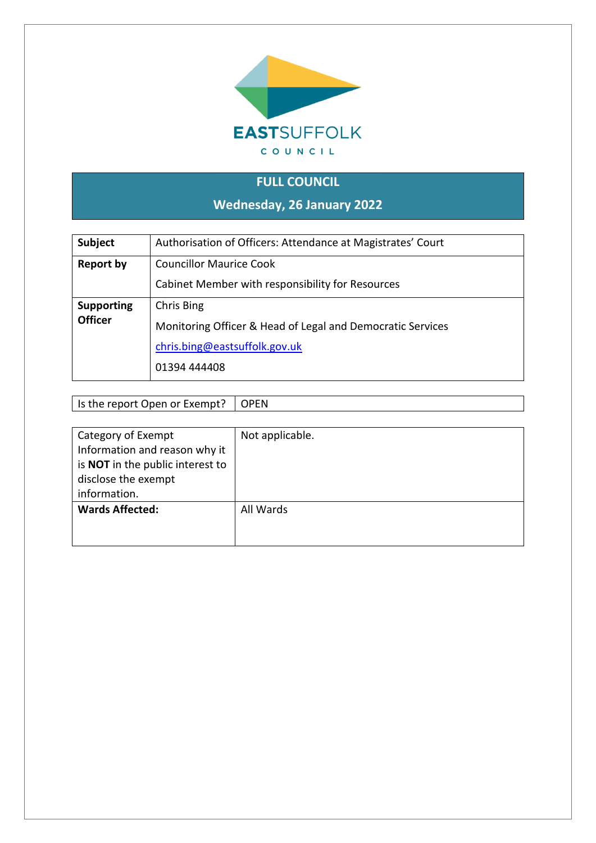

## **FULL COUNCIL**

**Wednesday, 26 January 2022**

| Subject           | Authorisation of Officers: Attendance at Magistrates' Court |
|-------------------|-------------------------------------------------------------|
| <b>Report by</b>  | <b>Councillor Maurice Cook</b>                              |
|                   | Cabinet Member with responsibility for Resources            |
| <b>Supporting</b> | Chris Bing                                                  |
| <b>Officer</b>    | Monitoring Officer & Head of Legal and Democratic Services  |
|                   | chris.bing@eastsuffolk.gov.uk                               |
|                   | 01394 444408                                                |
|                   |                                                             |

Is the report Open or Exempt? OPEN

| Category of Exempt               | Not applicable. |
|----------------------------------|-----------------|
| Information and reason why it    |                 |
| is NOT in the public interest to |                 |
| disclose the exempt              |                 |
| information.                     |                 |
| <b>Wards Affected:</b>           | All Wards       |
|                                  |                 |
|                                  |                 |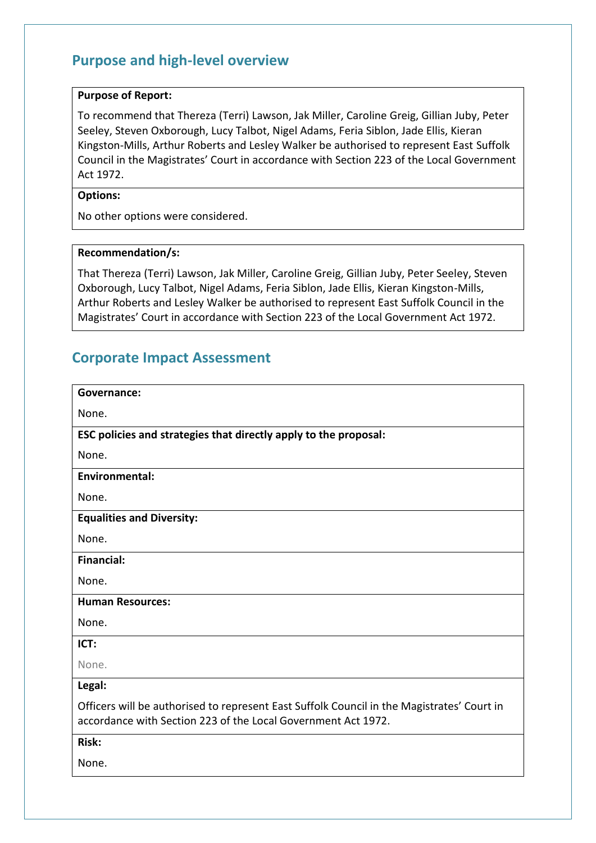## **Purpose and high-level overview**

#### **Purpose of Report:**

To recommend that Thereza (Terri) Lawson, Jak Miller, Caroline Greig, Gillian Juby, Peter Seeley, Steven Oxborough, Lucy Talbot, Nigel Adams, Feria Siblon, Jade Ellis, Kieran Kingston-Mills, Arthur Roberts and Lesley Walker be authorised to represent East Suffolk Council in the Magistrates' Court in accordance with Section 223 of the Local Government Act 1972.

### **Options:**

No other options were considered.

#### **Recommendation/s:**

That Thereza (Terri) Lawson, Jak Miller, Caroline Greig, Gillian Juby, Peter Seeley, Steven Oxborough, Lucy Talbot, Nigel Adams, Feria Siblon, Jade Ellis, Kieran Kingston-Mills, Arthur Roberts and Lesley Walker be authorised to represent East Suffolk Council in the Magistrates' Court in accordance with Section 223 of the Local Government Act 1972.

### **Corporate Impact Assessment**

| Governance:                                                                                                                                                 |
|-------------------------------------------------------------------------------------------------------------------------------------------------------------|
| None.                                                                                                                                                       |
| ESC policies and strategies that directly apply to the proposal:                                                                                            |
| None.                                                                                                                                                       |
| <b>Environmental:</b>                                                                                                                                       |
| None.                                                                                                                                                       |
| <b>Equalities and Diversity:</b>                                                                                                                            |
| None.                                                                                                                                                       |
| <b>Financial:</b>                                                                                                                                           |
| None.                                                                                                                                                       |
| <b>Human Resources:</b>                                                                                                                                     |
| None.                                                                                                                                                       |
| ICT:                                                                                                                                                        |
| None.                                                                                                                                                       |
| Legal:                                                                                                                                                      |
| Officers will be authorised to represent East Suffolk Council in the Magistrates' Court in<br>accordance with Section 223 of the Local Government Act 1972. |
| Risk:                                                                                                                                                       |
| None.                                                                                                                                                       |
|                                                                                                                                                             |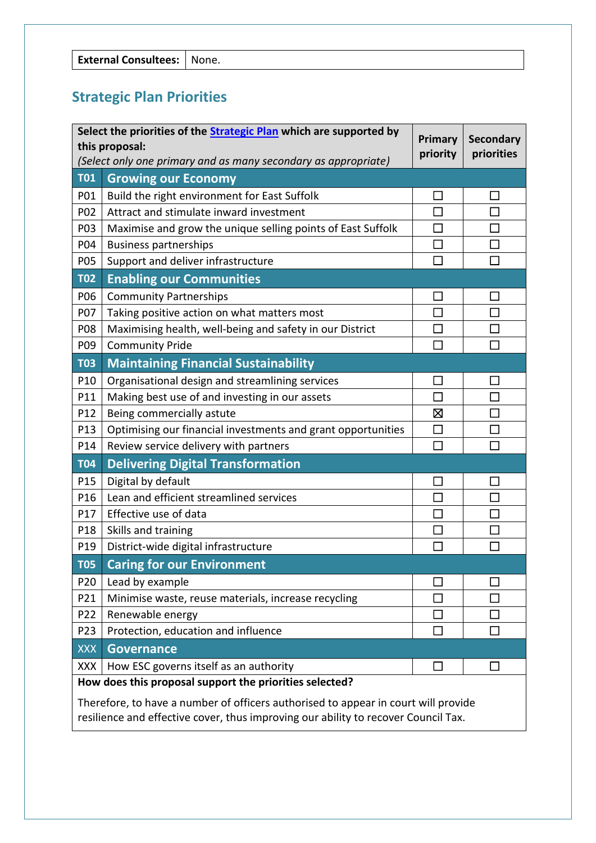## **Strategic Plan Priorities**

|                 | Select the priorities of the <b>Strategic Plan</b> which are supported by<br>Primary<br>this proposal:<br>priority<br>(Select only one primary and as many secondary as appropriate) |                             | <b>Secondary</b><br>priorities |
|-----------------|--------------------------------------------------------------------------------------------------------------------------------------------------------------------------------------|-----------------------------|--------------------------------|
| <b>T01</b>      | <b>Growing our Economy</b>                                                                                                                                                           |                             |                                |
| P01             | Build the right environment for East Suffolk                                                                                                                                         | $\Box$                      |                                |
| P02             | Attract and stimulate inward investment                                                                                                                                              |                             |                                |
| P03             | Maximise and grow the unique selling points of East Suffolk                                                                                                                          | $\Box$                      |                                |
| P04             | <b>Business partnerships</b>                                                                                                                                                         | $\Box$                      |                                |
| P05             | Support and deliver infrastructure                                                                                                                                                   |                             |                                |
| <b>T02</b>      | <b>Enabling our Communities</b>                                                                                                                                                      |                             |                                |
| P06             | <b>Community Partnerships</b>                                                                                                                                                        | $\Box$                      |                                |
| P07             | Taking positive action on what matters most                                                                                                                                          | $\mathcal{L}_{\mathcal{A}}$ |                                |
| P08             | Maximising health, well-being and safety in our District                                                                                                                             | $\Box$                      |                                |
| P09             | <b>Community Pride</b>                                                                                                                                                               | $\mathcal{L}$               |                                |
| <b>T03</b>      | <b>Maintaining Financial Sustainability</b>                                                                                                                                          |                             |                                |
| P10             | Organisational design and streamlining services                                                                                                                                      |                             |                                |
| P11             | Making best use of and investing in our assets                                                                                                                                       | П                           |                                |
| P12             | Being commercially astute                                                                                                                                                            | 区                           |                                |
| P13             | Optimising our financial investments and grant opportunities                                                                                                                         | $\Box$                      |                                |
| P14             | Review service delivery with partners                                                                                                                                                | П                           |                                |
| <b>T04</b>      | <b>Delivering Digital Transformation</b>                                                                                                                                             |                             |                                |
| P15             | Digital by default                                                                                                                                                                   |                             |                                |
| P16             | Lean and efficient streamlined services                                                                                                                                              | П                           |                                |
| P17             | Effective use of data                                                                                                                                                                |                             |                                |
| P18             | Skills and training                                                                                                                                                                  | $\Box$                      |                                |
| P19             | District-wide digital infrastructure                                                                                                                                                 | П                           |                                |
| <b>T05</b>      | <b>Caring for our Environment</b>                                                                                                                                                    |                             |                                |
| P20             | Lead by example                                                                                                                                                                      |                             |                                |
| P21             | Minimise waste, reuse materials, increase recycling                                                                                                                                  | H                           |                                |
| P22             | Renewable energy                                                                                                                                                                     | $\Box$                      |                                |
| P <sub>23</sub> | Protection, education and influence                                                                                                                                                  |                             |                                |
| <b>XXX</b>      | <b>Governance</b>                                                                                                                                                                    |                             |                                |
| XXX             | How ESC governs itself as an authority                                                                                                                                               | П                           |                                |
|                 | How does this proposal support the priorities selected?                                                                                                                              |                             |                                |
|                 | Therefore, to have a number of officers authorised to appear in court will provide                                                                                                   |                             |                                |

resilience and effective cover, thus improving our ability to recover Council Tax.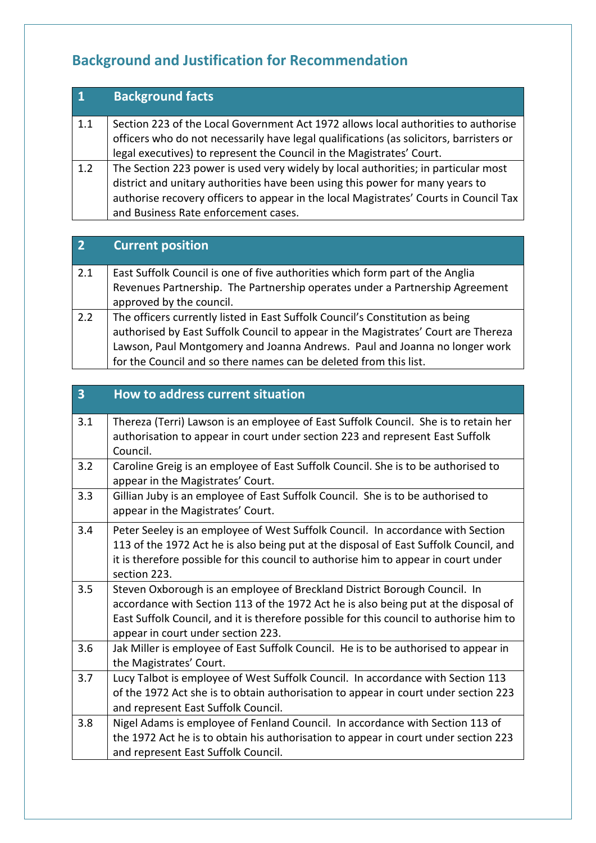# **Background and Justification for Recommendation**

| $\vert$ 1 | <b>Background facts</b>                                                                 |
|-----------|-----------------------------------------------------------------------------------------|
| 1.1       | Section 223 of the Local Government Act 1972 allows local authorities to authorise      |
|           | officers who do not necessarily have legal qualifications (as solicitors, barristers or |
|           | legal executives) to represent the Council in the Magistrates' Court.                   |
| 1.2       | The Section 223 power is used very widely by local authorities; in particular most      |
|           | district and unitary authorities have been using this power for many years to           |
|           | authorise recovery officers to appear in the local Magistrates' Courts in Council Tax   |
|           | and Business Rate enforcement cases.                                                    |

| $\overline{2}$ | <b>Current position</b>                                                            |
|----------------|------------------------------------------------------------------------------------|
| 2.1            | East Suffolk Council is one of five authorities which form part of the Anglia      |
|                | Revenues Partnership. The Partnership operates under a Partnership Agreement       |
|                | approved by the council.                                                           |
| 2.2            | The officers currently listed in East Suffolk Council's Constitution as being      |
|                | authorised by East Suffolk Council to appear in the Magistrates' Court are Thereza |
|                | Lawson, Paul Montgomery and Joanna Andrews. Paul and Joanna no longer work         |
|                | for the Council and so there names can be deleted from this list.                  |

| $\overline{\mathbf{3}}$ | <b>How to address current situation</b>                                                                                                                                                                                                                                                           |
|-------------------------|---------------------------------------------------------------------------------------------------------------------------------------------------------------------------------------------------------------------------------------------------------------------------------------------------|
| 3.1                     | Thereza (Terri) Lawson is an employee of East Suffolk Council. She is to retain her<br>authorisation to appear in court under section 223 and represent East Suffolk<br>Council.                                                                                                                  |
| 3.2                     | Caroline Greig is an employee of East Suffolk Council. She is to be authorised to<br>appear in the Magistrates' Court.                                                                                                                                                                            |
| 3.3                     | Gillian Juby is an employee of East Suffolk Council. She is to be authorised to<br>appear in the Magistrates' Court.                                                                                                                                                                              |
| 3.4                     | Peter Seeley is an employee of West Suffolk Council. In accordance with Section<br>113 of the 1972 Act he is also being put at the disposal of East Suffolk Council, and<br>it is therefore possible for this council to authorise him to appear in court under<br>section 223.                   |
| 3.5                     | Steven Oxborough is an employee of Breckland District Borough Council. In<br>accordance with Section 113 of the 1972 Act he is also being put at the disposal of<br>East Suffolk Council, and it is therefore possible for this council to authorise him to<br>appear in court under section 223. |
| 3.6                     | Jak Miller is employee of East Suffolk Council. He is to be authorised to appear in<br>the Magistrates' Court.                                                                                                                                                                                    |
| 3.7                     | Lucy Talbot is employee of West Suffolk Council. In accordance with Section 113<br>of the 1972 Act she is to obtain authorisation to appear in court under section 223<br>and represent East Suffolk Council.                                                                                     |
| 3.8                     | Nigel Adams is employee of Fenland Council. In accordance with Section 113 of<br>the 1972 Act he is to obtain his authorisation to appear in court under section 223<br>and represent East Suffolk Council.                                                                                       |